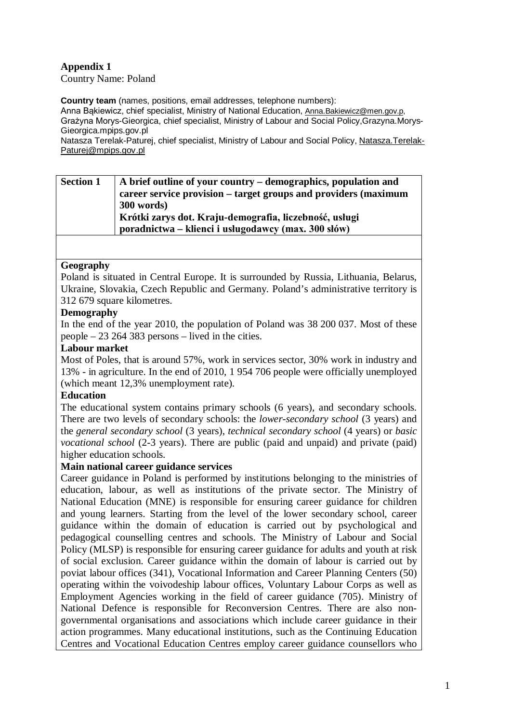# **Appendix 1**

Country Name: Poland

**Country team** (names, positions, email addresses, telephone numbers):

Anna Bąkiewicz, chief specialist, Ministry of National Education, [Anna.Bakiewicz@men.gov.p,](mailto:Anna.Bakiewicz@men.gov.p) Grażyna Morys-Gieorgica, chief specialist, Ministry of Labour and Social Policy,Grazyna.Morys-Gieorgica.mpips.gov.pl

Natasza Terelak-Paturej, chief specialist, Ministry of Labour and Social Policy, [Natasza.Terelak-](mailto:Natasza.Terelak-Paturej@mpips.gov.pl)[Paturej@mpips.gov.pl](mailto:Natasza.Terelak-Paturej@mpips.gov.pl)

| <b>Section 1</b> | A brief outline of your country – demographics, population and  |
|------------------|-----------------------------------------------------------------|
|                  | career service provision – target groups and providers (maximum |
|                  | 300 words)                                                      |
|                  | Krótki zarys dot. Kraju-demografia, liczebność, usługi          |
|                  | poradnictwa – klienci i usługodawcy (max. 300 słów)             |

## **Geography**

Poland is situated in Central Europe. It is surrounded by Russia, Lithuania, Belarus, Ukraine, Slovakia, Czech Republic and Germany. Poland's administrative territory is 312 679 square kilometres.

## **Demography**

In the end of the year 2010, the population of Poland was 38 200 037. Most of these people – 23 264 383 persons – lived in the cities.

#### **Labour market**

Most of Poles, that is around 57%, work in services sector, 30% work in industry and 13% - in agriculture. In the end of 2010, 1 954 706 people were officially unemployed (which meant 12,3% unemployment rate).

#### **Education**

The educational system contains primary schools (6 years), and secondary schools. There are two levels of secondary schools: the *lower-secondary school* (3 years) and the *general secondary school* (3 years), *technical secondary school* (4 years) or *basic vocational school* (2-3 years). There are public (paid and unpaid) and private (paid) higher education schools.

#### **Main national career guidance services**

Career guidance in Poland is performed by institutions belonging to the ministries of education, labour, as well as institutions of the private sector. The Ministry of National Education (MNE) is responsible for ensuring career guidance for children and young learners. Starting from the level of the lower secondary school, career guidance within the domain of education is carried out by psychological and pedagogical counselling centres and schools. The Ministry of Labour and Social Policy (MLSP) is responsible for ensuring career guidance for adults and youth at risk of social exclusion. Career guidance within the domain of labour is carried out by poviat labour offices (341), Vocational Information and Career Planning Centers (50) operating within the voivodeship labour offices, Voluntary Labour Corps as well as Employment Agencies working in the field of career guidance (705). Ministry of National Defence is responsible for Reconversion Centres. There are also nongovernmental organisations and associations which include career guidance in their action programmes. Many educational institutions, such as the Continuing Education Centres and Vocational Education Centres employ career guidance counsellors who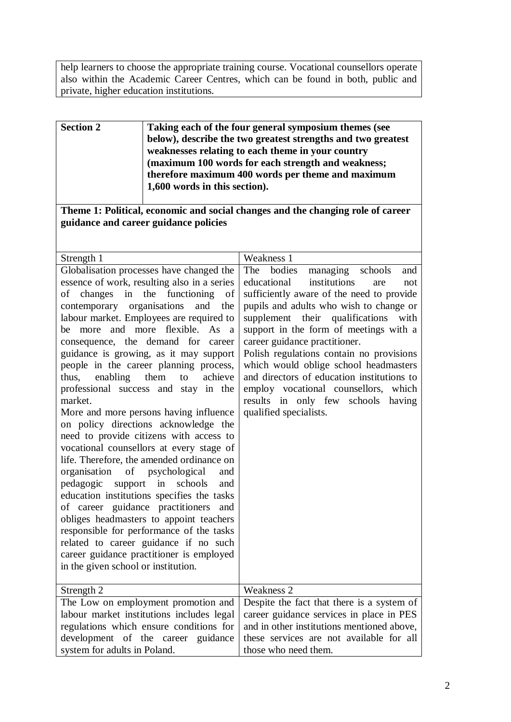help learners to choose the appropriate training course. Vocational counsellors operate also within the Academic Career Centres, which can be found in both, public and private, higher education institutions.

| <b>Section 2</b>                                                                                                                                                                                                                                                                                                                                                                                                                                                                                                                                                                                                                                                                                                                                                                                                                                                                                                                                                                                                                                                                                               | Taking each of the four general symposium themes (see<br>below), describe the two greatest strengths and two greatest<br>weaknesses relating to each theme in your country<br>(maximum 100 words for each strength and weakness;<br>therefore maximum 400 words per theme and maximum<br>1,600 words in this section).                                                                                                                                                                                                                                  |  |  |  |  |
|----------------------------------------------------------------------------------------------------------------------------------------------------------------------------------------------------------------------------------------------------------------------------------------------------------------------------------------------------------------------------------------------------------------------------------------------------------------------------------------------------------------------------------------------------------------------------------------------------------------------------------------------------------------------------------------------------------------------------------------------------------------------------------------------------------------------------------------------------------------------------------------------------------------------------------------------------------------------------------------------------------------------------------------------------------------------------------------------------------------|---------------------------------------------------------------------------------------------------------------------------------------------------------------------------------------------------------------------------------------------------------------------------------------------------------------------------------------------------------------------------------------------------------------------------------------------------------------------------------------------------------------------------------------------------------|--|--|--|--|
| Theme 1: Political, economic and social changes and the changing role of career<br>guidance and career guidance policies                                                                                                                                                                                                                                                                                                                                                                                                                                                                                                                                                                                                                                                                                                                                                                                                                                                                                                                                                                                       |                                                                                                                                                                                                                                                                                                                                                                                                                                                                                                                                                         |  |  |  |  |
|                                                                                                                                                                                                                                                                                                                                                                                                                                                                                                                                                                                                                                                                                                                                                                                                                                                                                                                                                                                                                                                                                                                |                                                                                                                                                                                                                                                                                                                                                                                                                                                                                                                                                         |  |  |  |  |
| Strength 1                                                                                                                                                                                                                                                                                                                                                                                                                                                                                                                                                                                                                                                                                                                                                                                                                                                                                                                                                                                                                                                                                                     | Weakness 1                                                                                                                                                                                                                                                                                                                                                                                                                                                                                                                                              |  |  |  |  |
| Globalisation processes have changed the<br>essence of work, resulting also in a series<br>of changes in the functioning<br>of<br>contemporary organisations<br>and<br>the<br>labour market. Employees are required to<br>be more and more flexible. As a<br>consequence, the demand for career<br>guidance is growing, as it may support<br>people in the career planning process,<br>enabling<br>them<br>thus,<br>achieve<br>to<br>professional success and stay in the<br>market.<br>More and more persons having influence<br>on policy directions acknowledge the<br>need to provide citizens with access to<br>vocational counsellors at every stage of<br>life. Therefore, the amended ordinance on<br>organisation<br>of psychological<br>and<br>pedagogic<br>support in<br>schools<br>and<br>education institutions specifies the tasks<br>of career guidance practitioners<br>and<br>obliges headmasters to appoint teachers<br>responsible for performance of the tasks<br>related to career guidance if no such<br>career guidance practitioner is employed<br>in the given school or institution. | The<br>bodies<br>managing<br>schools<br>and<br>institutions<br>educational<br>are<br>not<br>sufficiently aware of the need to provide<br>pupils and adults who wish to change or<br>supplement their qualifications<br>with<br>support in the form of meetings with a<br>career guidance practitioner.<br>Polish regulations contain no provisions<br>which would oblige school headmasters<br>and directors of education institutions to<br>employ vocational counsellors,<br>which<br>results in only few schools<br>having<br>qualified specialists. |  |  |  |  |
| Strength 2                                                                                                                                                                                                                                                                                                                                                                                                                                                                                                                                                                                                                                                                                                                                                                                                                                                                                                                                                                                                                                                                                                     | Weakness 2                                                                                                                                                                                                                                                                                                                                                                                                                                                                                                                                              |  |  |  |  |
| The Low on employment promotion and                                                                                                                                                                                                                                                                                                                                                                                                                                                                                                                                                                                                                                                                                                                                                                                                                                                                                                                                                                                                                                                                            | Despite the fact that there is a system of                                                                                                                                                                                                                                                                                                                                                                                                                                                                                                              |  |  |  |  |
| labour market institutions includes legal<br>regulations which ensure conditions for<br>development of the career guidance<br>system for adults in Poland.                                                                                                                                                                                                                                                                                                                                                                                                                                                                                                                                                                                                                                                                                                                                                                                                                                                                                                                                                     | career guidance services in place in PES<br>and in other institutions mentioned above,<br>these services are not available for all<br>those who need them.                                                                                                                                                                                                                                                                                                                                                                                              |  |  |  |  |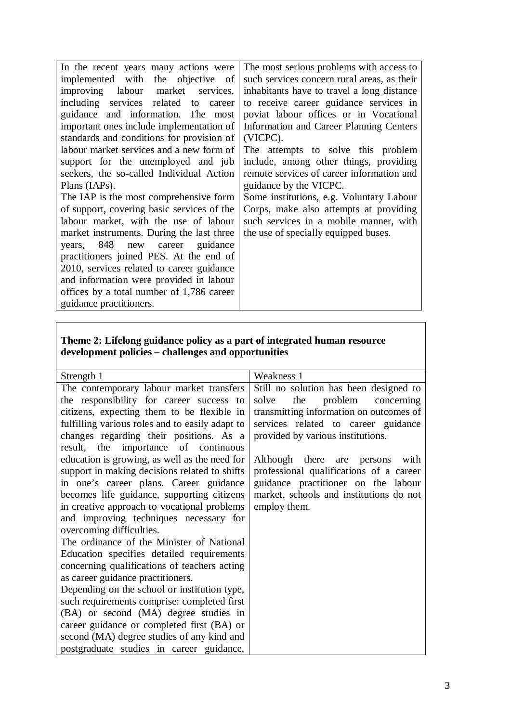| In the recent years many actions were      | The most serious problems with access to    |  |  |  |  |  |
|--------------------------------------------|---------------------------------------------|--|--|--|--|--|
| implemented with the objective of          | such services concern rural areas, as their |  |  |  |  |  |
| improving labour market services,          | inhabitants have to travel a long distance  |  |  |  |  |  |
| including services related to career       | to receive career guidance services in      |  |  |  |  |  |
| guidance and information. The most         | poviat labour offices or in Vocational      |  |  |  |  |  |
| important ones include implementation of   | Information and Career Planning Centers     |  |  |  |  |  |
| standards and conditions for provision of  | (VICPC).                                    |  |  |  |  |  |
| labour market services and a new form of   | The attempts to solve this problem          |  |  |  |  |  |
| support for the unemployed and job         | include, among other things, providing      |  |  |  |  |  |
| seekers, the so-called Individual Action   | remote services of career information and   |  |  |  |  |  |
| Plans (IAPs).                              | guidance by the VICPC.                      |  |  |  |  |  |
| The IAP is the most comprehensive form     | Some institutions, e.g. Voluntary Labour    |  |  |  |  |  |
| of support, covering basic services of the | Corps, make also attempts at providing      |  |  |  |  |  |
| labour market, with the use of labour      | such services in a mobile manner, with      |  |  |  |  |  |
| market instruments. During the last three  | the use of specially equipped buses.        |  |  |  |  |  |
| years, 848 new career guidance             |                                             |  |  |  |  |  |
| practitioners joined PES. At the end of    |                                             |  |  |  |  |  |
| 2010, services related to career guidance  |                                             |  |  |  |  |  |
| and information were provided in labour    |                                             |  |  |  |  |  |
| offices by a total number of 1,786 career  |                                             |  |  |  |  |  |
| guidance practitioners.                    |                                             |  |  |  |  |  |

## **Theme 2: Lifelong guidance policy as a part of integrated human resource development policies – challenges and opportunities**

| Strength 1                                      | Weakness 1                              |  |  |  |  |
|-------------------------------------------------|-----------------------------------------|--|--|--|--|
| The contemporary labour market transfers        | Still no solution has been designed to  |  |  |  |  |
| the responsibility for career success to        | the problem concerning<br>solve         |  |  |  |  |
| citizens, expecting them to be flexible in      | transmitting information on outcomes of |  |  |  |  |
| fulfilling various roles and to easily adapt to | services related to career guidance     |  |  |  |  |
| changes regarding their positions. As a         | provided by various institutions.       |  |  |  |  |
| result, the importance of continuous            |                                         |  |  |  |  |
| education is growing, as well as the need for   | Although there are persons<br>with      |  |  |  |  |
| support in making decisions related to shifts   | professional qualifications of a career |  |  |  |  |
| in one's career plans. Career guidance          | guidance practitioner on the labour     |  |  |  |  |
| becomes life guidance, supporting citizens      | market, schools and institutions do not |  |  |  |  |
| in creative approach to vocational problems     | employ them.                            |  |  |  |  |
| and improving techniques necessary for          |                                         |  |  |  |  |
| overcoming difficulties.                        |                                         |  |  |  |  |
| The ordinance of the Minister of National       |                                         |  |  |  |  |
| Education specifies detailed requirements       |                                         |  |  |  |  |
| concerning qualifications of teachers acting    |                                         |  |  |  |  |
| as career guidance practitioners.               |                                         |  |  |  |  |
| Depending on the school or institution type,    |                                         |  |  |  |  |
| such requirements comprise: completed first     |                                         |  |  |  |  |
| (BA) or second (MA) degree studies in           |                                         |  |  |  |  |
| career guidance or completed first (BA) or      |                                         |  |  |  |  |
| second (MA) degree studies of any kind and      |                                         |  |  |  |  |
| postgraduate studies in career guidance,        |                                         |  |  |  |  |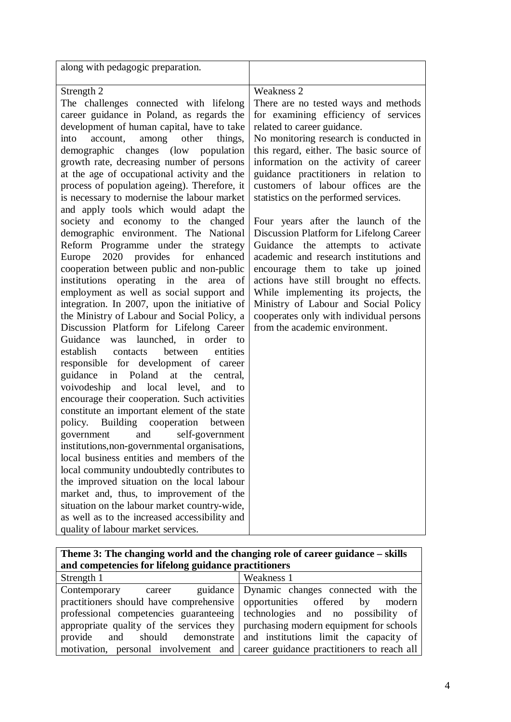| along with pedagogic preparation.                                                                                                                                                                                                                                                                                                                                                                                                                                                                                                                                                                                                                                                                                                                                                                                                                                                                                                                                                                                                                                                                                                                                                                                                                                                                                                                                                                                                                                                                                                                                                                                                                                                        |                                                                                                                                                                                                                                                                                                                                                                                                                                                                                                                                                                                                                                                                                                                                                                                                    |
|------------------------------------------------------------------------------------------------------------------------------------------------------------------------------------------------------------------------------------------------------------------------------------------------------------------------------------------------------------------------------------------------------------------------------------------------------------------------------------------------------------------------------------------------------------------------------------------------------------------------------------------------------------------------------------------------------------------------------------------------------------------------------------------------------------------------------------------------------------------------------------------------------------------------------------------------------------------------------------------------------------------------------------------------------------------------------------------------------------------------------------------------------------------------------------------------------------------------------------------------------------------------------------------------------------------------------------------------------------------------------------------------------------------------------------------------------------------------------------------------------------------------------------------------------------------------------------------------------------------------------------------------------------------------------------------|----------------------------------------------------------------------------------------------------------------------------------------------------------------------------------------------------------------------------------------------------------------------------------------------------------------------------------------------------------------------------------------------------------------------------------------------------------------------------------------------------------------------------------------------------------------------------------------------------------------------------------------------------------------------------------------------------------------------------------------------------------------------------------------------------|
| Strength 2<br>The challenges connected with lifelong<br>career guidance in Poland, as regards the<br>development of human capital, have to take<br>account, among other<br>things,<br>into<br>demographic changes (low population<br>growth rate, decreasing number of persons<br>at the age of occupational activity and the<br>process of population ageing). Therefore, it<br>is necessary to modernise the labour market<br>and apply tools which would adapt the<br>society and economy to the changed<br>demographic environment. The National<br>Reform Programme under the strategy<br>Europe 2020 provides for enhanced<br>cooperation between public and non-public<br>institutions operating in the<br>area of<br>employment as well as social support and<br>integration. In 2007, upon the initiative of<br>the Ministry of Labour and Social Policy, a<br>Discussion Platform for Lifelong Career<br>Guidance was launched, in order to<br>establish contacts<br>between<br>entities<br>responsible for development of career<br>guidance in Poland at the central,<br>voivodeship and local level,<br>and to<br>encourage their cooperation. Such activities<br>constitute an important element of the state<br>policy. Building cooperation between<br>government<br>and<br>self-government<br>institutions, non-governmental organisations,<br>local business entities and members of the<br>local community undoubtedly contributes to<br>the improved situation on the local labour<br>market and, thus, to improvement of the<br>situation on the labour market country-wide,<br>as well as to the increased accessibility and<br>quality of labour market services. | Weakness 2<br>There are no tested ways and methods<br>for examining efficiency of services<br>related to career guidance.<br>No monitoring research is conducted in<br>this regard, either. The basic source of<br>information on the activity of career<br>guidance practitioners in relation to<br>customers of labour offices are the<br>statistics on the performed services.<br>Four years after the launch of the<br>Discussion Platform for Lifelong Career<br>Guidance<br>the<br>attempts to activate<br>academic and research institutions and<br>encourage them to take up joined<br>actions have still brought no effects.<br>While implementing its projects, the<br>Ministry of Labour and Social Policy<br>cooperates only with individual persons<br>from the academic environment. |
| Theme 3: The changing world and the changing role of career guidance – skills<br>$\mathbf{r}_{\alpha\alpha}$ for $\mathbf{R}$ , $\mathbf{r}_{\alpha}$                                                                                                                                                                                                                                                                                                                                                                                                                                                                                                                                                                                                                                                                                                                                                                                                                                                                                                                                                                                                                                                                                                                                                                                                                                                                                                                                                                                                                                                                                                                                    |                                                                                                                                                                                                                                                                                                                                                                                                                                                                                                                                                                                                                                                                                                                                                                                                    |

| and competencies for lifelong guidance practitioners                               |                                                                                 |  |  |  |
|------------------------------------------------------------------------------------|---------------------------------------------------------------------------------|--|--|--|
| Strength 1                                                                         | Weakness 1                                                                      |  |  |  |
| Contemporary                                                                       | career guidance Dynamic changes connected with the                              |  |  |  |
| practitioners should have comprehensive opportunities offered by modern            |                                                                                 |  |  |  |
|                                                                                    | professional competencies guaranteeing technologies and no possibility of       |  |  |  |
| appropriate quality of the services they   purchasing modern equipment for schools |                                                                                 |  |  |  |
|                                                                                    | provide and should demonstrate and institutions limit the capacity of           |  |  |  |
|                                                                                    | motivation, personal involvement and career guidance practitioners to reach all |  |  |  |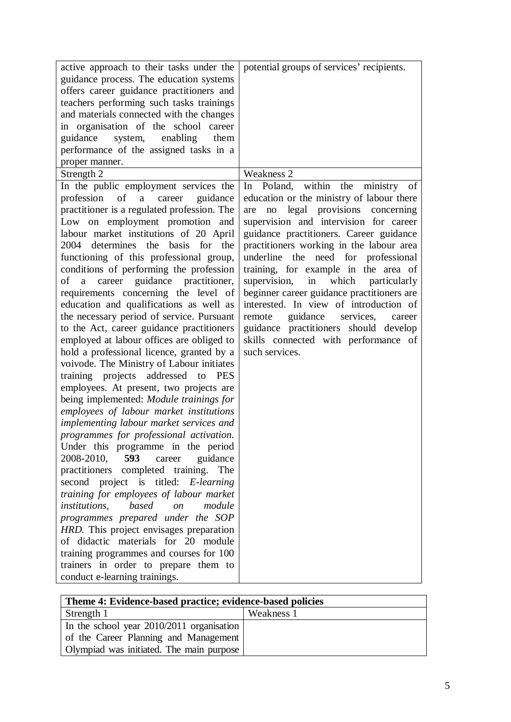| active approach to their tasks under the<br>guidance process. The education systems<br>offers career guidance practitioners and<br>teachers performing such tasks trainings<br>and materials connected with the changes<br>in organisation of the school career<br>guidance<br>system,<br>enabling<br>them<br>performance of the assigned tasks in a<br>proper manner.<br>Strength 2                                                                                                                                                                                                                                                                                                                                                                                                                                                                                                                                                                                                                                                                                                                                                                                                                                                                                                                                                                                                                         | potential groups of services' recipients.<br>Weakness 2                                                                                                                                                                                                                                                                                                                                                                                                                                                                                      |
|--------------------------------------------------------------------------------------------------------------------------------------------------------------------------------------------------------------------------------------------------------------------------------------------------------------------------------------------------------------------------------------------------------------------------------------------------------------------------------------------------------------------------------------------------------------------------------------------------------------------------------------------------------------------------------------------------------------------------------------------------------------------------------------------------------------------------------------------------------------------------------------------------------------------------------------------------------------------------------------------------------------------------------------------------------------------------------------------------------------------------------------------------------------------------------------------------------------------------------------------------------------------------------------------------------------------------------------------------------------------------------------------------------------|----------------------------------------------------------------------------------------------------------------------------------------------------------------------------------------------------------------------------------------------------------------------------------------------------------------------------------------------------------------------------------------------------------------------------------------------------------------------------------------------------------------------------------------------|
| In the public employment services the<br>profession of<br>a career guidance                                                                                                                                                                                                                                                                                                                                                                                                                                                                                                                                                                                                                                                                                                                                                                                                                                                                                                                                                                                                                                                                                                                                                                                                                                                                                                                                  | within the<br>In Poland,<br>ministry of<br>education or the ministry of labour there                                                                                                                                                                                                                                                                                                                                                                                                                                                         |
| practitioner is a regulated profession. The<br>Low on employment promotion and<br>labour market institutions of 20 April<br>2004 determines the<br>basis for the<br>functioning of this professional group,<br>conditions of performing the profession<br>a career guidance practitioner,<br>of<br>requirements concerning the level of<br>education and qualifications as well as<br>the necessary period of service. Pursuant<br>to the Act, career guidance practitioners<br>employed at labour offices are obliged to<br>hold a professional licence, granted by a<br>voivode. The Ministry of Labour initiates<br>training projects addressed to PES<br>employees. At present, two projects are<br>being implemented: Module trainings for<br>employees of labour market institutions<br>implementing labour market services and<br>programmes for professional activation.<br>Under this programme in the period<br>2008-2010,<br>593<br>career<br>guidance<br>practitioners completed training.<br>The<br>project is titled: <i>E-learning</i><br>second<br>training for employees of labour market<br>based<br>institutions,<br>module<br>$\mathfrak{O}n$<br>programmes prepared under the SOP<br>HRD. This project envisages preparation<br>of didactic materials for 20 module<br>training programmes and courses for 100<br>trainers in order to prepare them to<br>conduct e-learning trainings. | legal provisions concerning<br>are<br>no<br>supervision and intervision for career<br>guidance practitioners. Career guidance<br>practitioners working in the labour area<br>underline the need for professional<br>training, for example in the area of<br>supervision,<br>in<br>which<br>particularly<br>beginner career guidance practitioners are<br>interested. In view of introduction of<br>guidance services,<br>remote<br>career<br>guidance practitioners should develop<br>skills connected with performance of<br>such services. |

| Theme 4: Evidence-based practice; evidence-based policies |            |  |  |
|-----------------------------------------------------------|------------|--|--|
| Strength 1                                                | Weakness 1 |  |  |
| In the school year 2010/2011 organisation                 |            |  |  |
| of the Career Planning and Management                     |            |  |  |
| Olympiad was initiated. The main purpose                  |            |  |  |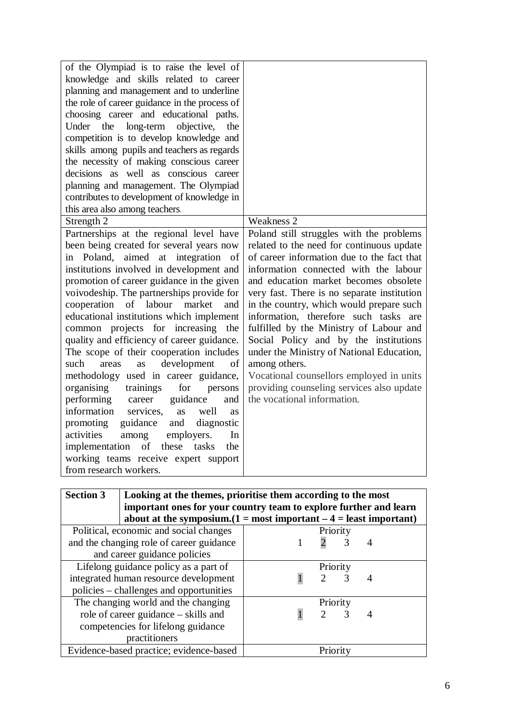| of the Olympiad is to raise the level of<br>knowledge and skills related to career<br>planning and management and to underline<br>the role of career guidance in the process of<br>choosing career and educational paths.<br>Under the<br>long-term<br>objective,<br>the<br>competition is to develop knowledge and<br>skills among pupils and teachers as regards<br>the necessity of making conscious career<br>decisions as well as conscious career<br>planning and management. The Olympiad<br>contributes to development of knowledge in<br>this area also among teachers.<br>Strength 2 | <b>Weakness 2</b>                                                                |
|------------------------------------------------------------------------------------------------------------------------------------------------------------------------------------------------------------------------------------------------------------------------------------------------------------------------------------------------------------------------------------------------------------------------------------------------------------------------------------------------------------------------------------------------------------------------------------------------|----------------------------------------------------------------------------------|
| Partnerships at the regional level have                                                                                                                                                                                                                                                                                                                                                                                                                                                                                                                                                        | Poland still struggles with the problems                                         |
| been being created for several years now                                                                                                                                                                                                                                                                                                                                                                                                                                                                                                                                                       | related to the need for continuous update                                        |
| in Poland, aimed at integration<br>of                                                                                                                                                                                                                                                                                                                                                                                                                                                                                                                                                          | of career information due to the fact that                                       |
| institutions involved in development and                                                                                                                                                                                                                                                                                                                                                                                                                                                                                                                                                       | information connected with the labour                                            |
| promotion of career guidance in the given                                                                                                                                                                                                                                                                                                                                                                                                                                                                                                                                                      | and education market becomes obsolete                                            |
| voivodeship. The partnerships provide for                                                                                                                                                                                                                                                                                                                                                                                                                                                                                                                                                      | very fast. There is no separate institution                                      |
| cooperation of labour<br>market<br>and                                                                                                                                                                                                                                                                                                                                                                                                                                                                                                                                                         | in the country, which would prepare such                                         |
| educational institutions which implement                                                                                                                                                                                                                                                                                                                                                                                                                                                                                                                                                       | information, therefore such tasks are                                            |
| common projects for increasing the<br>quality and efficiency of career guidance.                                                                                                                                                                                                                                                                                                                                                                                                                                                                                                               | fulfilled by the Ministry of Labour and<br>Social Policy and by the institutions |
| The scope of their cooperation includes                                                                                                                                                                                                                                                                                                                                                                                                                                                                                                                                                        | under the Ministry of National Education,                                        |
| development<br>such<br>of<br>areas<br>as                                                                                                                                                                                                                                                                                                                                                                                                                                                                                                                                                       | among others.                                                                    |
| methodology used in career guidance,                                                                                                                                                                                                                                                                                                                                                                                                                                                                                                                                                           | Vocational counsellors employed in units                                         |
| organising<br>trainings<br>for<br>persons                                                                                                                                                                                                                                                                                                                                                                                                                                                                                                                                                      | providing counseling services also update                                        |
| performing<br>guidance<br>career<br>and                                                                                                                                                                                                                                                                                                                                                                                                                                                                                                                                                        | the vocational information.                                                      |
| information<br>services,<br>well<br><b>as</b><br>as                                                                                                                                                                                                                                                                                                                                                                                                                                                                                                                                            |                                                                                  |
| guidance<br>promoting<br>and<br>diagnostic                                                                                                                                                                                                                                                                                                                                                                                                                                                                                                                                                     |                                                                                  |
| activities<br>among<br>employers.<br>In                                                                                                                                                                                                                                                                                                                                                                                                                                                                                                                                                        |                                                                                  |
| of these<br>implementation<br>tasks<br>the                                                                                                                                                                                                                                                                                                                                                                                                                                                                                                                                                     |                                                                                  |
| working teams receive expert support                                                                                                                                                                                                                                                                                                                                                                                                                                                                                                                                                           |                                                                                  |
| from research workers.                                                                                                                                                                                                                                                                                                                                                                                                                                                                                                                                                                         |                                                                                  |
|                                                                                                                                                                                                                                                                                                                                                                                                                                                                                                                                                                                                |                                                                                  |

| <b>Section 3</b>                                   | Looking at the themes, prioritise them according to the most         |          |                             |   |  |  |
|----------------------------------------------------|----------------------------------------------------------------------|----------|-----------------------------|---|--|--|
|                                                    | important ones for your country team to explore further and learn    |          |                             |   |  |  |
|                                                    | about at the symposium. $(1 = most important - 4 = least important)$ |          |                             |   |  |  |
| Political, economic and social changes<br>Priority |                                                                      |          |                             |   |  |  |
| and the changing role of career guidance           |                                                                      |          |                             | 3 |  |  |
|                                                    | and career guidance policies                                         |          |                             |   |  |  |
|                                                    | Lifelong guidance policy as a part of                                | Priority |                             |   |  |  |
| integrated human resource development              |                                                                      |          | $\mathcal{D}_{\mathcal{L}}$ | 3 |  |  |
| policies – challenges and opportunities            |                                                                      |          |                             |   |  |  |
| The changing world and the changing                |                                                                      |          | Priority                    |   |  |  |
|                                                    | role of career guidance – skills and                                 |          | $\mathcal{D}$               | 3 |  |  |
|                                                    | competencies for lifelong guidance                                   |          |                             |   |  |  |
|                                                    | practitioners                                                        |          |                             |   |  |  |
| Evidence-based practice; evidence-based            |                                                                      |          | Priority                    |   |  |  |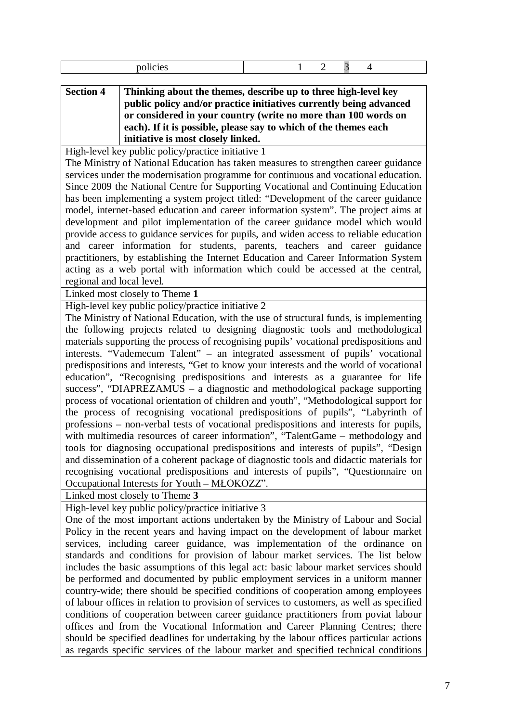|                           | policies                                                                                                                                                                        | 2 | 3 | 4 |
|---------------------------|---------------------------------------------------------------------------------------------------------------------------------------------------------------------------------|---|---|---|
| <b>Section 4</b>          | Thinking about the themes, describe up to three high-level key                                                                                                                  |   |   |   |
|                           | public policy and/or practice initiatives currently being advanced                                                                                                              |   |   |   |
|                           | or considered in your country (write no more than 100 words on<br>each). If it is possible, please say to which of the themes each                                              |   |   |   |
|                           | initiative is most closely linked.                                                                                                                                              |   |   |   |
|                           | High-level key public policy/practice initiative 1                                                                                                                              |   |   |   |
|                           | The Ministry of National Education has taken measures to strengthen career guidance                                                                                             |   |   |   |
|                           | services under the modernisation programme for continuous and vocational education.                                                                                             |   |   |   |
|                           | Since 2009 the National Centre for Supporting Vocational and Continuing Education                                                                                               |   |   |   |
|                           | has been implementing a system project titled: "Development of the career guidance                                                                                              |   |   |   |
|                           | model, internet-based education and career information system". The project aims at                                                                                             |   |   |   |
|                           | development and pilot implementation of the career guidance model which would                                                                                                   |   |   |   |
|                           | provide access to guidance services for pupils, and widen access to reliable education                                                                                          |   |   |   |
|                           | and career information for students, parents, teachers and career guidance                                                                                                      |   |   |   |
|                           | practitioners, by establishing the Internet Education and Career Information System                                                                                             |   |   |   |
|                           | acting as a web portal with information which could be accessed at the central,                                                                                                 |   |   |   |
| regional and local level. |                                                                                                                                                                                 |   |   |   |
|                           | Linked most closely to Theme 1                                                                                                                                                  |   |   |   |
|                           | High-level key public policy/practice initiative 2                                                                                                                              |   |   |   |
|                           | The Ministry of National Education, with the use of structural funds, is implementing                                                                                           |   |   |   |
|                           | the following projects related to designing diagnostic tools and methodological                                                                                                 |   |   |   |
|                           | materials supporting the process of recognising pupils' vocational predispositions and                                                                                          |   |   |   |
|                           | interests. "Vademecum Talent" – an integrated assessment of pupils' vocational<br>predispositions and interests, "Get to know your interests and the world of vocational        |   |   |   |
|                           | education", "Recognising predispositions and interests as a guarantee for life                                                                                                  |   |   |   |
|                           | success", "DIAPREZAMUS - a diagnostic and methodological package supporting                                                                                                     |   |   |   |
|                           | process of vocational orientation of children and youth", "Methodological support for                                                                                           |   |   |   |
|                           | the process of recognising vocational predispositions of pupils", "Labyrinth of                                                                                                 |   |   |   |
|                           | professions – non-verbal tests of vocational predispositions and interests for pupils,                                                                                          |   |   |   |
|                           | with multimedia resources of career information", "TalentGame – methodology and                                                                                                 |   |   |   |
|                           | tools for diagnosing occupational predispositions and interests of pupils", "Design                                                                                             |   |   |   |
|                           | and dissemination of a coherent package of diagnostic tools and didactic materials for                                                                                          |   |   |   |
|                           | recognising vocational predispositions and interests of pupils", "Questionnaire on                                                                                              |   |   |   |
|                           | Occupational Interests for Youth - MŁOKOZZ".                                                                                                                                    |   |   |   |
|                           | Linked most closely to Theme 3                                                                                                                                                  |   |   |   |
|                           | High-level key public policy/practice initiative 3                                                                                                                              |   |   |   |
|                           | One of the most important actions undertaken by the Ministry of Labour and Social                                                                                               |   |   |   |
|                           | Policy in the recent years and having impact on the development of labour market                                                                                                |   |   |   |
|                           | services, including career guidance, was implementation of the ordinance on                                                                                                     |   |   |   |
|                           | standards and conditions for provision of labour market services. The list below                                                                                                |   |   |   |
|                           | includes the basic assumptions of this legal act: basic labour market services should                                                                                           |   |   |   |
|                           | be performed and documented by public employment services in a uniform manner                                                                                                   |   |   |   |
|                           | country-wide; there should be specified conditions of cooperation among employees                                                                                               |   |   |   |
|                           | of labour offices in relation to provision of services to customers, as well as specified<br>conditions of cooperation between career guidance practitioners from poviat labour |   |   |   |
|                           | offices and from the Vocational Information and Career Planning Centres; there                                                                                                  |   |   |   |
|                           | should be specified deadlines for undertaking by the labour offices particular actions                                                                                          |   |   |   |
|                           | as regards specific services of the labour market and specified technical conditions                                                                                            |   |   |   |
|                           |                                                                                                                                                                                 |   |   |   |